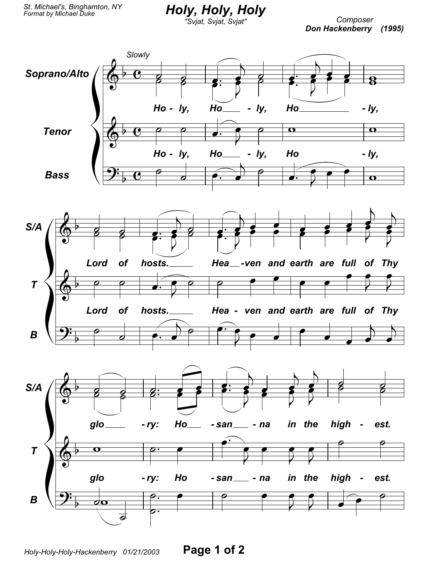Holy, Holy, Holy

Composer Don Hackenberry (1995)